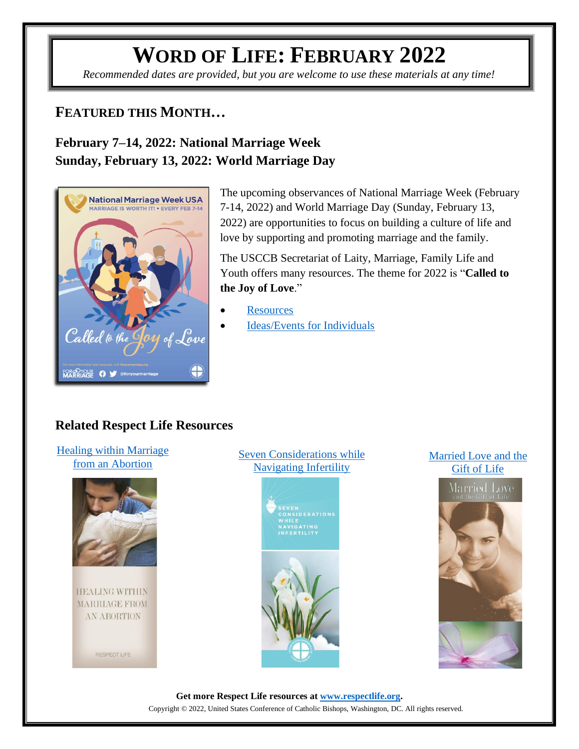# **WORD OF LIFE: FEBRUARY 2022**

*Recommended dates are provided, but you are welcome to use these materials at any time!*

### **FEATURED THIS MONTH…**

### **February 7–14, 2022: National Marriage Week Sunday, February 13, 2022: World Marriage Day**



The upcoming observances of National Marriage Week (February 7-14, 2022) and World Marriage Day (Sunday, February 13, 2022) are opportunities to focus on building a culture of life and love by supporting and promoting marriage and the family.

The USCCB Secretariat of Laity, Marriage, Family Life and Youth offers many resources. The theme for 2022 is "**Called to the Joy of Love**."

- **[Resources](https://www.usccb.org/topics/marriage-and-family-life-ministries/national-marriage-week)**
- [Ideas/Events for Individuals](https://www.foryourmarriage.org/celebrate-national-marriage-week)

### **Related Respect Life Resources**

#### [Healing within Marriage](https://www.respectlife.org/healing-in-marriage)  [from an Abortion](https://www.respectlife.org/healing-in-marriage)



**HEALING WITHIN** MARRIAGE FROM **AN ABORTION** 



### [Seven Considerations while](https://www.respectlife.org/navigating-infertility)  [Navigating Infertility](https://www.respectlife.org/navigating-infertility)



#### [Married Love and the](http://www.usccb.org/beliefs-and-teachings/what-we-believe/love-and-sexuality/married-love-and-the-gift-of-life.cfm)  [Gift of Life](http://www.usccb.org/beliefs-and-teachings/what-we-believe/love-and-sexuality/married-love-and-the-gift-of-life.cfm)



**Get more Respect Life resources at [www.respectlife.org.](http://www.respectlife.org/)** Copyright © 2022, United States Conference of Catholic Bishops, Washington, DC. All rights reserved.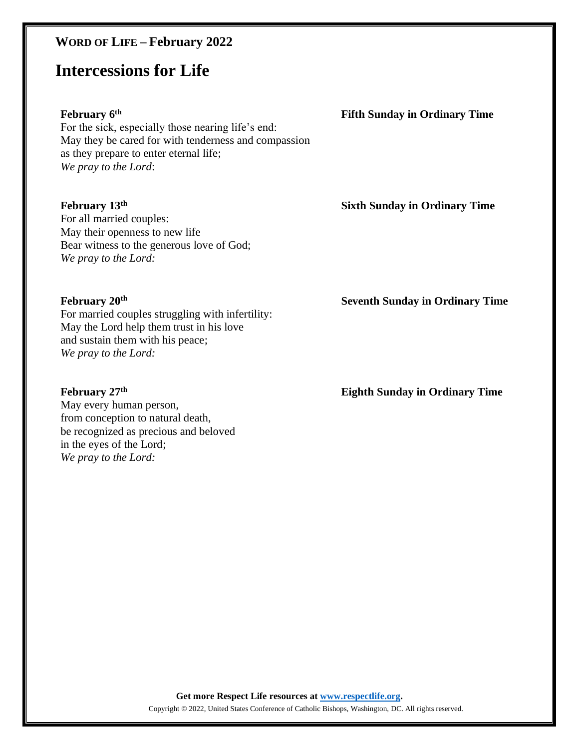### **WORD OF LIFE – February 2022**

## **Intercessions for Life**

#### **February 6 th**

For the sick, especially those nearing life's end: May they be cared for with tenderness and compassion as they prepare to enter eternal life; *We pray to the Lord*:

#### **February 13 th**

For all married couples: May their openness to new life Bear witness to the generous love of God; *We pray to the Lord:*

#### **February 20 th**

For married couples struggling with infertility: May the Lord help them trust in his love and sustain them with his peace; *We pray to the Lord:*

#### **February 27 th**

May every human person, from conception to natural death, be recognized as precious and beloved in the eyes of the Lord; *We pray to the Lord:*

**Fifth Sunday in Ordinary Time**

#### **Sixth Sunday in Ordinary Time**

**Seventh Sunday in Ordinary Time**

**Eighth Sunday in Ordinary Time**

**Get more Respect Life resources at [www.respectlife.org.](http://www.respectlife.org/)**

Copyright © 2022, United States Conference of Catholic Bishops, Washington, DC. All rights reserved.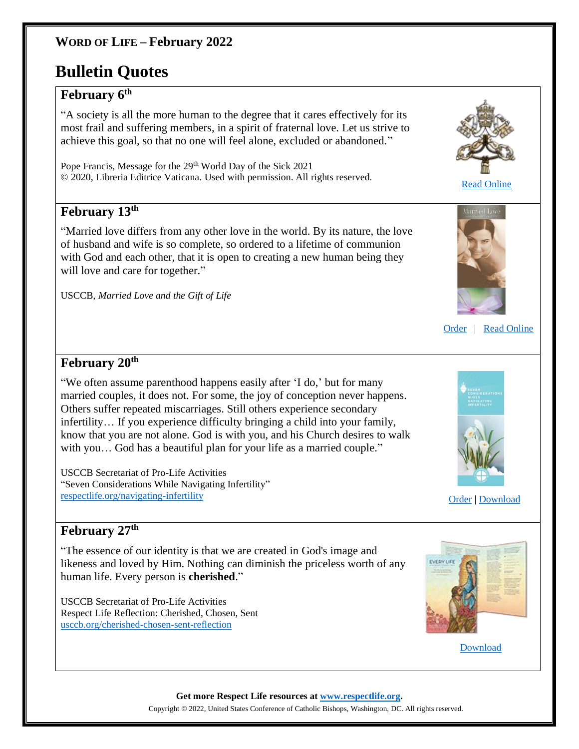### **WORD OF LIFE – February 2022**

# **Bulletin Quotes**

### **February 6 th**

"A society is all the more human to the degree that it cares effectively for its most frail and suffering members, in a spirit of fraternal love. Let us strive to achieve this goal, so that no one will feel alone, excluded or abandoned."

Pope Francis, Message for the 29<sup>th</sup> World Day of the Sick 2021 © 2020, Libreria Editrice Vaticana. Used with permission. All rights reserved.

### **February 13 th**

"Married love differs from any other love in the world. By its nature, the love of husband and wife is so complete, so ordered to a lifetime of communion with God and each other, that it is open to creating a new human being they will love and care for together."

USCCB, *Married Love and the Gift of Life*



[Read Online](http://www.vatican.va/content/francesco/en/messages/sick/documents/papa-francesco_20201220_giornata-malato.html)



[Order](http://store.usccb.org/married-love-and-the-gift-of-life-p/5-787.htm) [| Read Online](https://www.usccb.org/beliefs-and-teachings/what-we-believe/love-and-sexuality/married-love-and-the-gift-of-life) 

### **February 20 th**

"We often assume parenthood happens easily after 'I do,' but for many married couples, it does not. For some, the joy of conception never happens. Others suffer repeated miscarriages. Still others experience secondary infertility… If you experience difficulty bringing a child into your family, know that you are not alone. God is with you, and his Church desires to walk with you... God has a beautiful plan for your life as a married couple."

USCCB Secretariat of Pro-Life Activities "Seven Considerations While Navigating Infertility" [respectlife.org/navigating-infertility](https://www.respectlife.org/navigating-infertility)



[Order](https://store.usccb.org/products/seven-considerations-while-navigating-infertility) | [Download](https://www.usccb.org/about/pro-life-activities/respect-life-program/2016/upload/rlp-16-flyer-seven-considerations-while-navigating-infertility.pdf)

### **February 27 th**

"The essence of our identity is that we are created in God's image and likeness and loved by Him. Nothing can diminish the priceless worth of any human life. Every person is **cherished**."

USCCB Secretariat of Pro-Life Activities Respect Life Reflection: Cherished, Chosen, Sent [usccb.org/cherished-chosen-sent-reflection](https://www.usccb.org/cherished-chosen-sent-reflection)



[Download](https://www.usccb.org/resources/respect-life-reflection-cherished-chosen-sent) 

**Get more Respect Life resources at [www.respectlife.org.](http://www.respectlife.org/)**

Copyright © 2022, United States Conference of Catholic Bishops, Washington, DC. All rights reserved.